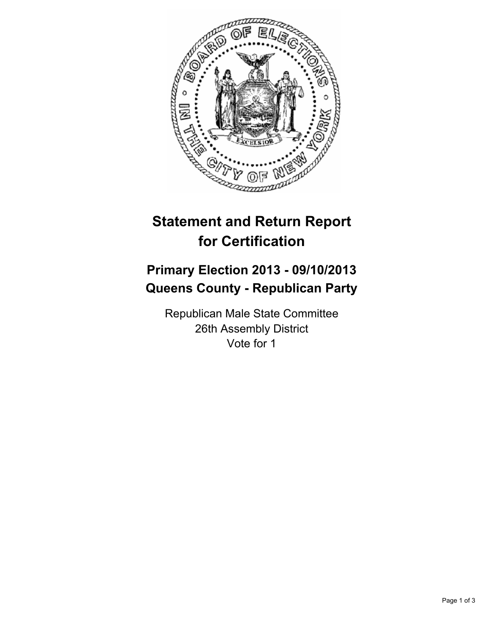

## **Statement and Return Report for Certification**

## **Primary Election 2013 - 09/10/2013 Queens County - Republican Party**

Republican Male State Committee 26th Assembly District Vote for 1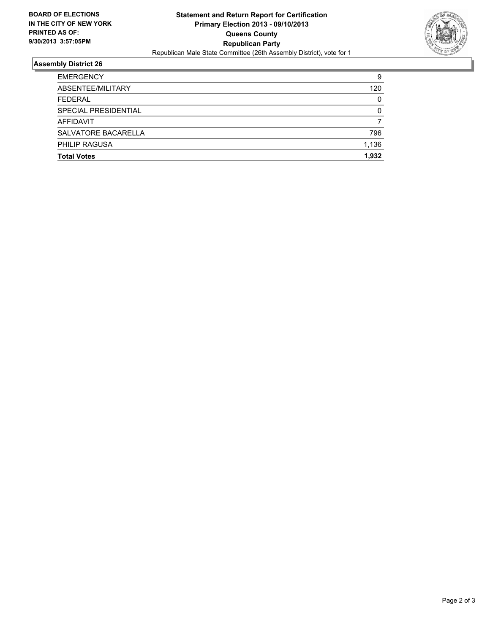

## **Assembly District 26**

| <b>Total Votes</b>   | 1.932 |
|----------------------|-------|
| <b>PHILIP RAGUSA</b> | 1,136 |
| SALVATORE BACARELLA  | 796   |
| <b>AFFIDAVIT</b>     |       |
| SPECIAL PRESIDENTIAL | 0     |
| <b>FEDERAL</b>       | 0     |
| ABSENTEE/MILITARY    | 120   |
| <b>EMERGENCY</b>     | 9     |